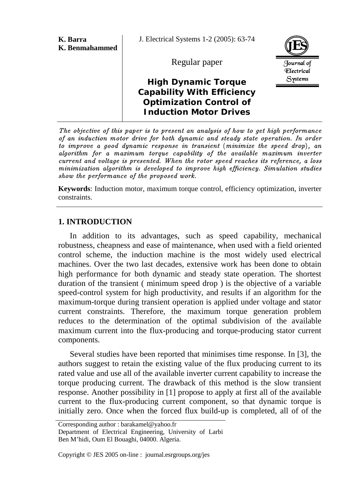| K. Barra<br>K. Benmahammed | J. Electrical Systems 1-2 (2005): 63-74                                                                                            |                                 |
|----------------------------|------------------------------------------------------------------------------------------------------------------------------------|---------------------------------|
|                            | Regular paper                                                                                                                      | Journal of<br><b>Flectrical</b> |
|                            | <b>High Dynamic Torque</b><br><b>Capability With Efficiency</b><br><b>Optimization Control of</b><br><b>Induction Motor Drives</b> | Systems                         |

The objective of this paper is to present an analysis of how to get high performance of an induction motor drive for both dynamic and steady state operation. In order to improve a good dynamic response in transient (minimize the speed drop), an algorithm for a maximum torque capability of the available maximum inverter current and voltage is presented. When the rotor speed reaches its reference, a loss minimization algorithm is developed to improve high efficiency. Simulation studies show the performance of the proposed work.

**Keywords**: Induction motor, maximum torque control, efficiency optimization, inverter constraints.

## **1. INTRODUCTION**

In addition to its advantages, such as speed capability, mechanical robustness, cheapness and ease of maintenance, when used with a field oriented control scheme, the induction machine is the most widely used electrical machines. Over the two last decades, extensive work has been done to obtain high performance for both dynamic and steady state operation. The shortest duration of the transient ( minimum speed drop ) is the objective of a variable speed-control system for high productivity, and results if an algorithm for the maximum-torque during transient operation is applied under voltage and stator current constraints. Therefore, the maximum torque generation problem reduces to the determination of the optimal subdivision of the available maximum current into the flux-producing and torque-producing stator current components.

Several studies have been reported that minimises time response. In [3], the authors suggest to retain the existing value of the flux producing current to its rated value and use all of the available inverter current capability to increase the torque producing current. The drawback of this method is the slow transient response. Another possibility in [1] propose to apply at first all of the available current to the flux-producing current component, so that dynamic torque is initially zero. Once when the forced flux build-up is completed, all of of the

Corresponding author : barakamel@yahoo.fr Department of Electrical Engineering, University of Larbi Ben M'hidi, Oum El Bouaghi, 04000. Algeria.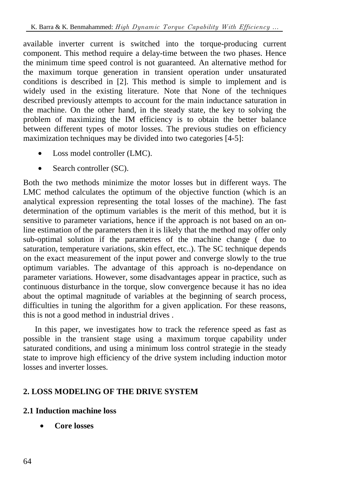available inverter current is switched into the torque-producing current component. This method require a delay-time between the two phases. Hence the minimum time speed control is not guaranteed. An alternative method for the maximum torque generation in transient operation under unsaturated conditions is described in [2]. This method is simple to implement and is widely used in the existing literature. Note that None of the techniques described previously attempts to account for the main inductance saturation in the machine. On the other hand, in the steady state, the key to solving the problem of maximizing the IM efficiency is to obtain the better balance between different types of motor losses. The previous studies on efficiency maximization techniques may be divided into two categories [4-5]:

- Loss model controller (LMC).
- Search controller (SC).

Both the two methods minimize the motor losses but in different ways. The LMC method calculates the optimum of the objective function (which is an analytical expression representing the total losses of the machine). The fast determination of the optimum variables is the merit of this method, but it is sensitive to parameter variations, hence if the approach is not based on an online estimation of the parameters then it is likely that the method may offer only sub-optimal solution if the parametres of the machine change ( due to saturation, temperature variations, skin effect, etc..). The SC technique depends on the exact measurement of the input power and converge slowly to the true optimum variables. The advantage of this approach is no-dependance on parameter variations. However, some disadvantages appear in practice, such as continuous disturbance in the torque, slow convergence because it has no idea about the optimal magnitude of variables at the beginning of search process, difficulties in tuning the algorithm for a given application. For these reasons, this is not a good method in industrial drives .

In this paper, we investigates how to track the reference speed as fast as possible in the transient stage using a maximum torque capability under saturated conditions, and using a minimum loss control strategie in the steady state to improve high efficiency of the drive system including induction motor losses and inverter losses.

# **2. LOSS MODELING OF THE DRIVE SYSTEM**

# **2.1 Induction machine loss**

• **Core losses**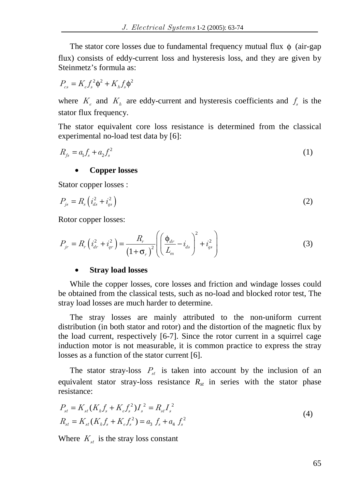The stator core losses due to fundamental frequency mutual flux  $\phi$  (air-gap flux) consists of eddy-current loss and hysteresis loss, and they are given by Steinmetz's formula as:

$$
P_{cs} = K_e f_s^2 \phi^2 + K_h f_s \phi^2
$$

where  $K_e$  and  $K_h$  are eddy-current and hysteresis coefficients and  $f_s$  is the stator flux frequency.

The stator equivalent core loss resistance is determined from the classical experimental no-load test data by [6]:

$$
R_{fs} = a_1 f_s + a_2 f_s^2 \tag{1}
$$

#### • **Copper losses**

Stator copper losses :

$$
P_{js} = R_s \left( i_{ds}^2 + i_{qs}^2 \right) \tag{2}
$$

Rotor copper losses:

$$
P_{jr} = R_r \left( i_{dr}^2 + i_{qr}^2 \right) = \frac{R_r}{\left( 1 + \sigma_r \right)^2} \left( \left( \frac{\Phi_{dr}}{L_m} - i_{ds} \right)^2 + i_{qs}^2 \right)
$$
 (3)

#### • **Stray load losses**

While the copper losses, core losses and friction and windage losses could be obtained from the classical tests, such as no-load and blocked rotor test, The stray load losses are much harder to determine.

The stray losses are mainly attributed to the non-uniform current distribution (in both stator and rotor) and the distortion of the magnetic flux by the load current, respectively [6-7]. Since the rotor current in a squirrel cage induction motor is not measurable, it is common practice to express the stray losses as a function of the stator current [6].

The stator stray-loss  $P_{st}$  is taken into account by the inclusion of an equivalent stator stray-loss resistance  $R_{st}$  in series with the stator phase resistance:

$$
P_{st} = K_{st}(K_h f_s + K_e f_s^2)I_s^2 = R_{st}I_s^2
$$
  
\n
$$
R_{st} = K_{st}(K_h f_s + K_e f_s^2) = a_3 f_s + a_4 f_s^2
$$
\n(4)

Where  $K_{st}$  is the stray loss constant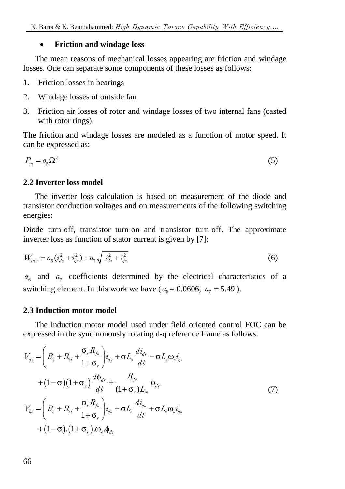### • **Friction and windage loss**

The mean reasons of mechanical losses appearing are friction and windage losses. One can separate some components of these losses as follows:

- 1. Friction losses in bearings
- 2. Windage losses of outside fan
- 3. Friction air losses of rotor and windage losses of two internal fans (casted with rotor rings).

The friction and windage losses are modeled as a function of motor speed. It can be expressed as:

$$
P_m = a_5 \Omega^2 \tag{5}
$$

### **2.2 Inverter loss model**

The inverter loss calculation is based on measurement of the diode and transistor conduction voltages and on measurements of the following switching energies:

Diode turn-off, transistor turn-on and transistor turn-off. The approximate inverter loss as function of stator current is given by [7]:

$$
W_{inv} = a_6(\dot{i}_{ds}^2 + \dot{i}_{gs}^2) + a_7 \sqrt{\dot{i}_{ds}^2 + \dot{i}_{gs}^2}
$$
 (6)

 $a<sub>6</sub>$  and  $a<sub>7</sub>$  coefficients determined by the electrical characteristics of a switching element. In this work we have ( $a_6 = 0.0606$ ,  $a_7 = 5.49$ ).

### **2.3 Induction motor model**

The induction motor model used under field oriented control FOC can be expressed in the synchronously rotating d-q reference frame as follows:

$$
V_{ds} = \left(R_s + R_{st} + \frac{\sigma_r R_{fs}}{1 + \sigma_r}\right)\dot{i}_{ds} + \sigma L_s \frac{di_{ds}}{dt} - \sigma L_s \omega_s \dot{i}_{gs}
$$
  
+ 
$$
(1 - \sigma)(1 + \sigma_s) \frac{d\phi_{dr}}{dt} + \frac{R_{fs}}{(1 + \sigma_r)L_m} \phi_{dr}
$$
  

$$
V_{gs} = \left(R_s + R_{st} + \frac{\sigma_r R_{fs}}{1 + \sigma_r}\right)\dot{i}_{gs} + \sigma L_s \frac{di_{gs}}{dt} + \sigma L_s \omega_s \dot{i}_{ds}
$$
  
+ 
$$
(1 - \sigma)(1 + \sigma_s) \omega_s \phi_{dr}
$$
 (7)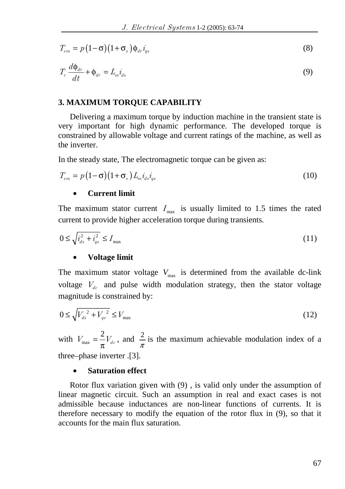$$
T_{em} = p(1-\sigma)(1+\sigma_s)\phi_{dr}\dot{t}_{qs}
$$
\n(8)

$$
T_r \frac{d\phi_{dr}}{dt} + \phi_{dr} = L_m i_{ds} \tag{9}
$$

#### **3. MAXIMUM TORQUE CAPABILITY**

Delivering a maximum torque by induction machine in the transient state is very important for high dynamic performance. The developed torque is constrained by allowable voltage and current ratings of the machine, as well as the inverter.

In the steady state, The electromagnetic torque can be given as:

$$
T_{em} = p\left(1-\sigma\right)\left(1+\sigma_s\right)L_m i_{ds} i_{qs} \tag{10}
$$

#### • **Current limit**

The maximum stator current  $I_{\text{max}}$  is usually limited to 1.5 times the rated current to provide higher acceleration torque during transients.

$$
0 \le \sqrt{i_{ds}^2 + i_{qs}^2} \le I_{\text{max}} \tag{11}
$$

#### • **Voltage limit**

The maximum stator voltage  $V_{\text{max}}$  is determined from the available dc-link voltage  $V_{dc}$  and pulse width modulation strategy, then the stator voltage magnitude is constrained by:

$$
0 \le \sqrt{V_{ds}^2 + V_{gs}^2} \le V_{\text{max}} \tag{12}
$$

with  $V_{\text{max}} = \frac{2}{\pi} V_{dc}$ , and  $\frac{2}{\pi}$  is the maximum achievable modulation index of a three–phase inverter .[3].

### • **Saturation effect**

Rotor flux variation given with (9) , is valid only under the assumption of linear magnetic circuit. Such an assumption in real and exact cases is not admissible because inductances are non-linear functions of currents. It is therefore necessary to modify the equation of the rotor flux in (9), so that it accounts for the main flux saturation.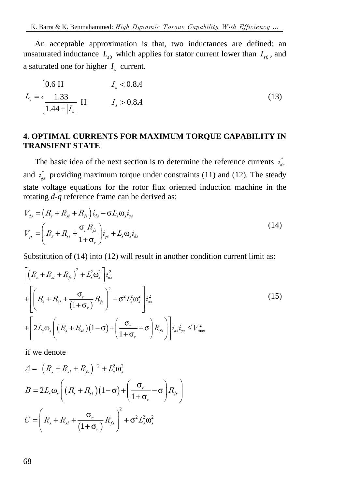An acceptable approximation is that, two inductances are defined: an unsaturated inductance  $L_{\rm so}$  which applies for stator current lower than  $I_{\rm so}$ , and a saturated one for higher  $I<sub>s</sub>$  current.

$$
L_s = \begin{cases} 0.6 \text{ H} & I_s < 0.8A \\ \frac{1.33}{1.44 + |I_s|} & H & I_s > 0.8A \end{cases}
$$
 (13)

# **4. OPTIMAL CURRENTS FOR MAXIMUM TORQUE CAPABILITY IN TRANSIENT STATE**

The basic idea of the next section is to determine the reference currents  $i_{ds}^*$ and  $i_{qs}^*$  providing maximum torque under constraints (11) and (12). The steady state voltage equations for the rotor flux oriented induction machine in the rotating *d-q* reference frame can be derived as:

$$
V_{ds} = \left(R_s + R_{st} + R_{fs}\right)i_{ds} - \sigma L_s \omega_s i_{qs}
$$
  

$$
V_{qs} = \left(R_s + R_{st} + \frac{\sigma_r R_{fs}}{1 + \sigma_r}\right)i_{qs} + L_s \omega_s i_{ds}
$$
 (14)

Substitution of (14) into (12) will result in another condition current limit as:

$$
\begin{aligned}\n&\left[\left(R_s + R_{st} + R_{fs}\right)^2 + L_s^2 \omega_s^2\right] i_{ds}^2 \\
&+ \left[\left(R_s + R_{st} + \frac{\sigma_r}{(1+\sigma_r)}R_{fs}\right)^2 + \sigma^2 L_s^2 \omega_s^2\right] i_{gs}^2 \\
&+ \left[2L_s \omega_s \left(\left(R_s + R_{st}\right)(1-\sigma) + \left(\frac{\sigma_r}{1+\sigma_r} - \sigma\right)R_{fs}\right)\right] i_{ds} i_{gs} \le V_{\text{max}}^2\n\end{aligned} \tag{15}
$$

if we denote

$$
A = (R_s + R_{st} + R_{fs})^2 + L_s^2 \omega_s^2
$$
  
\n
$$
B = 2L_s \omega_s \left( (R_s + R_{st})(1 - \sigma) + \left( \frac{\sigma_r}{1 + \sigma_r} - \sigma \right) R_{fs} \right)
$$
  
\n
$$
C = \left( R_s + R_{st} + \frac{\sigma_r}{(1 + \sigma_r)} R_{fs} \right)^2 + \sigma^2 L_s^2 \omega_s^2
$$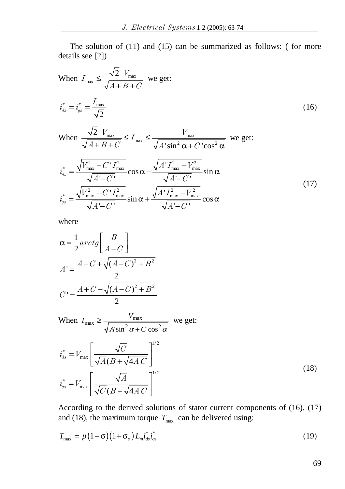The solution of (11) and (15) can be summarized as follows: ( for more details see [2])

When 
$$
I_{\text{max}} \le \frac{\sqrt{2} V_{\text{max}}}{\sqrt{A+B+C}}
$$
 we get:  
\n
$$
i_{ds}^* = i_{gs}^* = \frac{I_{\text{max}}}{\sqrt{2}}
$$
\n
$$
\text{When } \frac{\sqrt{2} V_{\text{max}}}{\sqrt{A+B+C}} \le I_{\text{max}} \le \frac{V_{\text{max}}}{\sqrt{A' \sin^2 \alpha + C' \cos^2 \alpha}}
$$
 we get:  
\n
$$
i_{ds}^* = \frac{\sqrt{V_{\text{max}}^2 - C' I_{\text{max}}^2}}{\sqrt{A'-C'}} \cos \alpha - \frac{\sqrt{A' I_{\text{max}}^2 - V_{\text{max}}^2}}{\sqrt{A'-C'}} \sin \alpha
$$
\n
$$
i_{gs}^* = \frac{\sqrt{V_{\text{max}}^2 - C' I_{\text{max}}^2}}{\sqrt{A'-C'}} \sin \alpha + \frac{\sqrt{A' I_{\text{max}}^2 - V_{\text{max}}^2}}{\sqrt{A'-C'}}
$$
\n(17)

where

$$
\alpha = \frac{1}{2} arctg \left[ \frac{B}{A-C} \right]
$$

$$
A' = \frac{A+C+\sqrt{(A-C)^2+B^2}}{2}
$$

$$
C' = \frac{A+C-\sqrt{(A-C)^2+B^2}}{2}
$$

When 
$$
I_{\text{max}} \ge \frac{V_{\text{max}}}{\sqrt{A'\sin^2 \alpha + C'\cos^2 \alpha}}
$$
 we get:  
\n
$$
i_{ds}^* = V_{\text{max}} \left[ \frac{\sqrt{C}}{\sqrt{A}(B + \sqrt{4AC})} \right]^{1/2}
$$
\n
$$
i_{qs}^* = V_{\text{max}} \left[ \frac{\sqrt{A}}{\sqrt{C}(B + \sqrt{4AC})} \right]^{1/2}
$$
\n(18)

According to the derived solutions of stator current components of (16), (17) and (18), the maximum torque  $T_{\text{max}}$  can be delivered using:

$$
T_{\text{max}} = p\left(1-\sigma\right)\left(1+\sigma_s\right)L_m i_{ds}^* i_{qs}^* \tag{19}
$$

69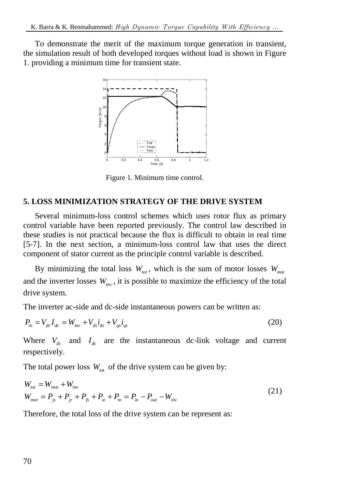To demonstrate the merit of the maximum torque generation in transient, the simulation result of both developed torques without load is shown in Figure 1. providing a minimum time for transient state.



Figure 1. Minimum time control.

## **5. LOSS MINIMIZATION STRATEGY OF THE DRIVE SYSTEM**

Several minimum-loss control schemes which uses rotor flux as primary control variable have been reported previously. The control law described in these studies is not practical because the flux is difficult to obtain in real time [5-7]. In the next section, a minimum-loss control law that uses the direct component of stator current as the principle control variable is described.

By minimizing the total loss  $W_{tot}$ , which is the sum of motor losses  $W_{mot}$ and the inverter losses  $W_{i_{\text{mv}}}$ , it is possible to maximize the efficiency of the total drive system.

The inverter ac-side and dc-side instantaneous powers can be written as:

$$
P_{in} = V_{dc}I_{dc} = W_{inv} + V_{ds}i_{ds} + V_{qs}i_{qs}
$$
\n(20)

Where  $V_{dc}$  and  $I_{dc}$  are the instantaneous dc-link voltage and current respectively.

The total power loss  $W_{tot}$  of the drive system can be given by:

$$
W_{tot} = W_{mot} + W_{inv}
$$
  
\n
$$
W_{mot} = P_{js} + P_{jr} + P_{fs} + P_{st} + P_m = P_{in} - P_{out} - W_{inv}
$$
\n(21)

Therefore, the total loss of the drive system can be represent as: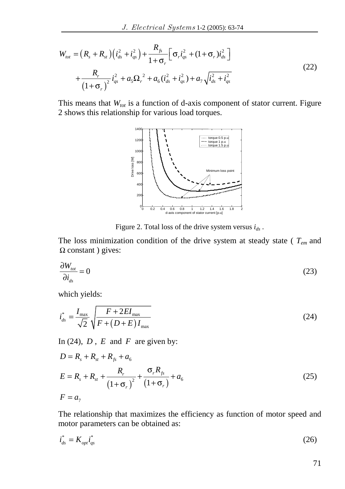$$
W_{tot} = (R_s + R_{st}) \left( i_{ds}^2 + i_{qs}^2 \right) + \frac{R_{fs}}{1 + \sigma_r} \left[ \sigma_r i_{qs}^2 + (1 + \sigma_r) i_{ds}^2 \right] + \frac{R_r}{\left( 1 + \sigma_r \right)^2} i_{qs}^2 + a_s \Omega_r^2 + a_6 \left( i_{ds}^2 + i_{qs}^2 \right) + a_7 \sqrt{i_{ds}^2 + i_{qs}^2}
$$
\n(22)

This means that  $W_{tot}$  is a function of d-axis component of stator current. Figure 2 shows this relationship for various load torques.



Figure 2. Total loss of the drive system versus  $i_{ds}$ .

The loss minimization condition of the drive system at steady state ( *Tem* and  $\Omega$  constant ) gives:

$$
\frac{\partial W_{tot}}{\partial i_{ds}} = 0 \tag{23}
$$

which yields:

$$
i_{ds}^* = \frac{I_{\text{max}}}{\sqrt{2}} \sqrt{\frac{F + 2EI_{\text{max}}}{F + (D + E)I_{\text{max}}}}
$$
(24)

In (24),  $D$ ,  $E$  and  $F$  are given by:

$$
D = R_s + R_{st} + R_{fs} + a_6
$$
  
\n
$$
E = R_s + R_{st} + \frac{R_r}{(1 + \sigma_r)^2} + \frac{\sigma_r R_{fs}}{(1 + \sigma_r)} + a_6
$$
  
\n
$$
F = a_7
$$
\n(25)

The relationship that maximizes the efficiency as function of motor speed and motor parameters can be obtained as:

$$
\dot{i}_{ds}^* = K_{opt} i_{qs}^* \tag{26}
$$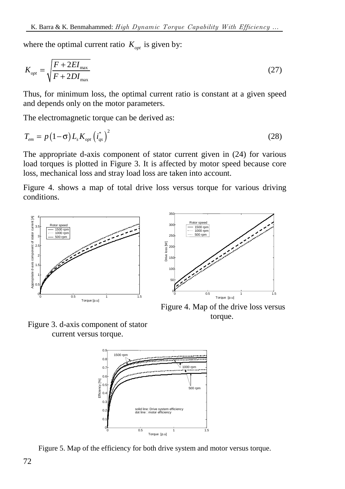where the optimal current ratio  $K_{\text{opt}}$  is given by:

$$
K_{opt} = \sqrt{\frac{F + 2EI_{\text{max}}}{F + 2DI_{\text{max}}}}
$$
(27)

Thus, for minimum loss, the optimal current ratio is constant at a given speed and depends only on the motor parameters.

The electromagnetic torque can be derived as:

$$
T_{em} = p\left(1-\sigma\right)L_s K_{opt} \left(i_{qs}^*\right)^2 \tag{28}
$$

The appropriate d-axis component of stator current given in (24) for various load torques is plotted in Figure 3. It is affected by motor speed because core loss, mechanical loss and stray load loss are taken into account.

Figure 4. shows a map of total drive loss versus torque for various driving conditions.





 Figure 4. Map of the drive loss versus torque.

Figure 3. d-axis component of stator current versus torque.



Figure 5. Map of the efficiency for both drive system and motor versus torque.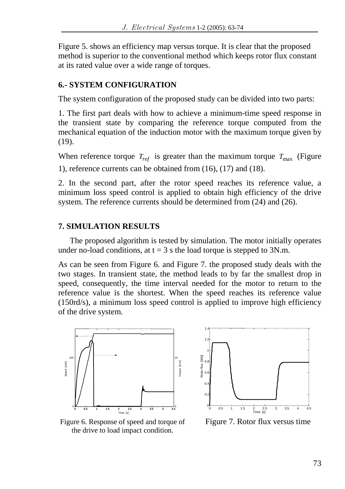Figure 5. shows an efficiency map versus torque. It is clear that the proposed method is superior to the conventional method which keeps rotor flux constant at its rated value over a wide range of torques.

## **6.- SYSTEM CONFIGURATION**

The system configuration of the proposed study can be divided into two parts:

1. The first part deals with how to achieve a minimum-time speed response in the transient state by comparing the reference torque computed from the mechanical equation of the induction motor with the maximum torque given by  $(19)$ .

When reference torque  $T_{ref}$  is greater than the maximum torque  $T_{max}$  (Figure 1), reference currents can be obtained from (16), (17) and (18).

2. In the second part, after the rotor speed reaches its reference value, a minimum loss speed control is applied to obtain high efficiency of the drive system. The reference currents should be determined from (24) and (26).

# **7. SIMULATION RESULTS**

The proposed algorithm is tested by simulation. The motor initially operates under no-load conditions, at  $t = 3$  s the load torque is stepped to 3N.m.

As can be seen from Figure 6. and Figure 7. the proposed study deals with the two stages. In transient state, the method leads to by far the smallest drop in speed, consequently, the time interval needed for the motor to return to the reference value is the shortest. When the speed reaches its reference value (150rd/s), a minimum loss speed control is applied to improve high efficiency of the drive system.





Figure 6. Response of speed and torque of the drive to load impact condition.

Figure 7. Rotor flux versus time